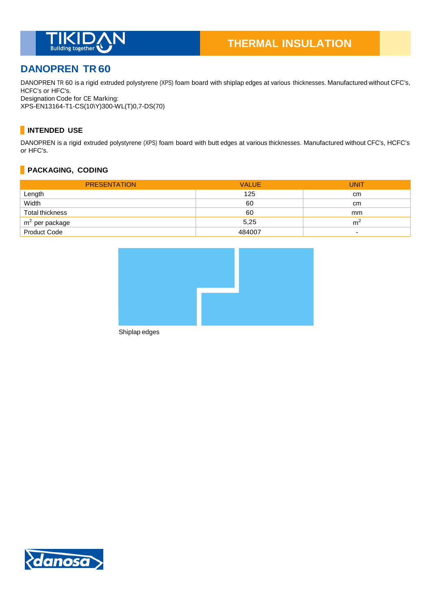

# **DANOPREN TR 60**

DANOPREN TR 60 is a rigid extruded polystyrene (XPS) foam board with shiplap edges at various thicknesses. Manufactured without CFC's, HCFC's or HFC's. Designation Code for CE Marking:

XPS-EN13164-T1-CS(10\Y)300-WL(T)0,7-DS(70)

# **INTENDED USE**

DANOPREN is a rigid extruded polystyrene (XPS) foam board with butt edges at various thicknesses. Manufactured without CFC's, HCFC's or HFC's.

# **PACKAGING, CODING**

| <b>PRESENTATION</b> | <b>VALUE</b> | <b>UNIT</b> |
|---------------------|--------------|-------------|
| Length              | 125          | cm          |
| Width               | 60           | cm          |
| Total thickness     | 60           | mm          |
| $m2$ per package    | 5,25         | m           |
| <b>Product Code</b> | 484007       |             |



Shiplap edges

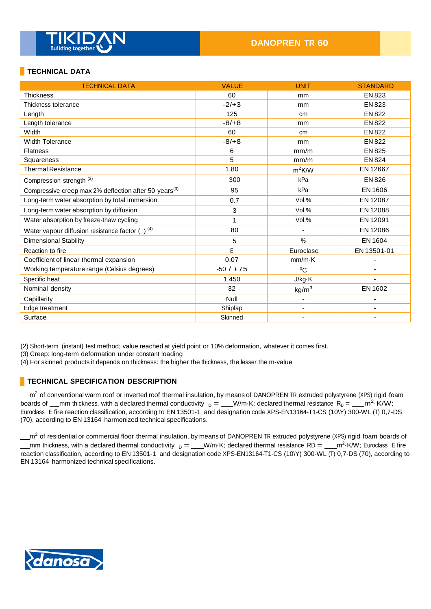

# **TECHNICAL DATA**

| <b>TECHNICAL DATA</b>                                             | <b>VALUE</b> | <b>UNIT</b>              | <b>STANDARD</b> |
|-------------------------------------------------------------------|--------------|--------------------------|-----------------|
| <b>Thickness</b>                                                  | 60           | mm                       | <b>EN 823</b>   |
| Thickness tolerance                                               | $-2/+3$      | mm                       | EN 823          |
| Length                                                            | 125          | cm                       | <b>EN 822</b>   |
| Length tolerance                                                  | $-8/+8$      | mm                       | <b>EN 822</b>   |
| Width                                                             | 60           | cm                       | <b>EN 822</b>   |
| <b>Width Tolerance</b>                                            | $-8/+8$      | mm                       | <b>EN 822</b>   |
| <b>Flatness</b>                                                   | 6            | mm/m                     | EN 825          |
| Squareness                                                        | 5            | mm/m                     | <b>EN 824</b>   |
| <b>Thermal Resistance</b>                                         | 1,80         | $m^2$ K/W                | EN 12667        |
| Compression strength <sup>(2)</sup>                               | 300          | kPa                      | EN 826          |
| Compressive creep max 2% deflection after 50 years <sup>(3)</sup> | 95           | kPa                      | EN 1606         |
| Long-term water absorption by total immersion                     | 0.7          | Vol.%                    | EN 12087        |
| Long-term water absorption by diffusion                           | 3            | Vol.%                    | EN 12088        |
| Water absorption by freeze-thaw cycling                           | 1            | Vol.%                    | EN 12091        |
| Water vapour diffusion resistance factor $( )^{(4)}$              | 80           |                          | EN 12086        |
| <b>Dimensional Stability</b>                                      | 5            | %                        | EN 1604         |
| Reaction to fire                                                  | E            | Euroclase                | EN 13501-01     |
| Coefficient of linear thermal expansion                           | 0,07         | $mm/m\cdot K$            |                 |
| Working temperature range (Celsius degrees)                       | $-50/ + 75$  | $^{\circ}C$              |                 |
| Specific heat                                                     | 1.450        | J/kg·K                   |                 |
| Nominal density                                                   | 32           | kg/m <sup>3</sup>        | EN 1602         |
| Capillarity                                                       | Null         | -                        |                 |
| Edge treatment                                                    | Shiplap      | $\overline{\phantom{a}}$ |                 |
| Surface                                                           | Skinned      |                          |                 |

(2) Short-term (instant) test method; value reached at yield point or 10% deformation, whatever it comes first.

(3) Creep: long-term deformation under constant loading

(4) For skinned products it depends on thickness: the higher the thickness, the lesser the m-value

#### **TECHNICAL SPECIFICATION DESCRIPTION**

m<sup>2</sup> of conventional warm roof or inverted roof thermal insulation, by means of DANOPREN TR extruded polystyrene (XPS) rigid foam boards of \_\_mm thickness, with a declared thermal conductivity  $_D =$  \_\_W/m·K; declared thermal resistance  $R_D =$  \_\_m<sup>2</sup>·K/W; Euroclass E fire reaction classification, according to EN 13501-1 and designation code XPS-EN13164-T1-CS (10\Y) 300-WL (T) 0,7-DS (70), according to EN 13164 harmonized technical specifications.

m<sup>2</sup> of residential or commercial floor thermal insulation, by means of DANOPREN TR extruded polystyrene (XPS) rigid foam boards of mm thickness, with a declared thermal conductivity  $_D =$  W/m·K; declared thermal resistance RD =  $\frac{m^2}{K}$ W; Euroclass E fire reaction classification, according to EN 13501-1 and designation code XPS-EN13164-T1-CS (10\Y) 300-WL (T) 0,7-DS (70), according to EN 13164 harmonized technical specifications.

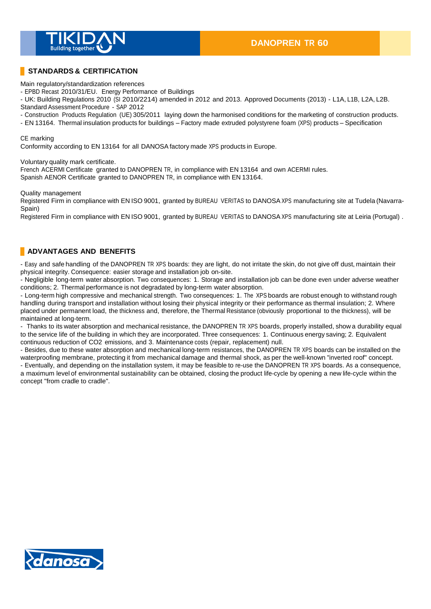

## **STANDARDS & CERTIFICATION**

Main regulatory/standardization references

- EPBD Recast 2010/31/EU. Energy Performance of Buildings

- UK: Building Regulations 2010 (SI 2010/2214) amended in 2012 and 2013. Approved Documents (2013) - L1A, L1B, L2A, L2B. Standard Assessment Procedure - SAP 2012

- Construction Products Regulation (UE) 305/2011 laying down the harmonised conditions for the marketing of construction products.

- EN 13164. Thermal insulation products for buildings – Factory made extruded polystyrene foam (XPS) products – Specification

#### CE marking

Conformity according to EN 13164 for all DANOSA factory made XPS products in Europe.

Voluntary quality mark certificate.

French ACERMI Certificate granted to DANOPREN TR, in compliance with EN 13164 and own ACERMI rules. Spanish AENOR Certificate granted to DANOPREN TR, in compliance with EN 13164.

Quality management

Registered Firm in compliance with EN ISO 9001, granted by BUREAU VERITAS to DANOSA XPS manufacturing site at Tudela (Navarra-Spain)

Registered Firm in compliance with EN ISO 9001, granted by BUREAU VERITAS to DANOSA XPS manufacturing site at Leiria (Portugal) .

### **ADVANTAGES AND BENEFITS**

- Easy and safe handling of the DANOPREN TR XPS boards: they are light, do not irritate the skin, do not give off dust, maintain their physical integrity. Consequence: easier storage and installation job on-site.

- Negligible long-term water absorption. Two consequences: 1. Storage and installation job can be done even under adverse weather conditions; 2. Thermal performance is not degradated by long-term water absorption.

- Long-term high compressive and mechanical strength. Two consequences: 1. The XPS boards are robust enough to withstand rough handling during transport and installation without losing their physical integrity or their performance as thermal insulation; 2. Where placed under permanent load, the thickness and, therefore, the Thermal Resistance (obviously proportional to the thickness), will be maintained at long-term.

- Thanks to its water absorption and mechanical resistance, the DANOPREN TR XPS boards, properly installed, show a durability equal to the service life of the building in which they are incorporated. Three consequences: 1. Continuous energy saving; 2. Equivalent continuous reduction of CO2 emissions, and 3. Maintenance costs (repair, replacement) null.

- Besides, due to these water absorption and mechanical long-term resistances, the DANOPREN TR XPS boards can be installed on the waterproofing membrane, protecting it from mechanical damage and thermal shock, as per the well-known "inverted roof" concept. - Eventually, and depending on the installation system, it may be feasible to re-use the DANOPREN TR XPS boards. As a consequence,

a maximum level of environmental sustainability can be obtained, closing the product life-cycle by opening a new life-cycle within the concept "from cradle to cradle".

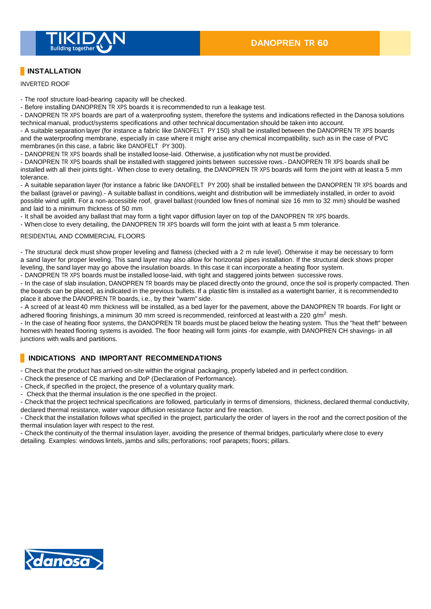

# **INSTALLATION**

INVERTED ROOF

- The roof structure load-bearing capacity will be checked.

- Before installing DANOPREN TR XPS boards it is recommended to run a leakage test.

- DANOPREN TR XPS boards are part of a waterproofing system, therefore the systems and indications reflected in the Danosa solutions technical manual, product/systems specifications and other technical documentation should be taken into account.

- A suitable separation layer (for instance a fabric like DANOFELT PY 150) shall be installed between the DANOPREN TR XPS boards and the waterproofing membrane, especially in case where it might arise any chemical incompatibility, such as in the case of PVC membranes (in this case, a fabric like DANOFELT PY 300).

- DANOPREN TR XPS boards shall be installed loose-laid. Otherwise, a justification why not must be provided.

- DANOPREN TR XPS boards shall be installed with staggered joints between successive rows.- DANOPREN TR XPS boards shall be installed with all their joints tight.- When close to every detailing, the DANOPREN TR XPS boards will form the joint with at least a 5 mm tolerance.

- A suitable separation layer (for instance a fabric like DANOFELT PY 200) shall be installed between the DANOPREN TR XPS boards and the ballast (gravel or paving).- A suitable ballast in conditions, weight and distribution will be immediately installed, in order to avoid possible wind uplift. For a non-accessible roof, gravel ballast (rounded low fines of nominal size 16 mm to 32 mm) should be washed and laid to a minimum thickness of 50 mm

- It shall be avoided any ballast that may form a tight vapor diffusion layer on top of the DANOPREN TR XPS boards.

- When close to every detailing, the DANOPREN TR XPS boards will form the joint with at least a 5 mm tolerance.

#### RESIDENTIAL AND COMMERCIAL FLOORS

- The structural deck must show proper leveling and flatness (checked with a 2 m rule level). Otherwise it may be necessary to form a sand layer for proper leveling. This sand layer may also allow for horizontal pipes installation. If the structural deck shows proper leveling, the sand layer may go above the insulation boards. In this case it can incorporate a heating floor system. - DANOPREN TR XPS boards must be installed loose-laid, with tight and staggered joints between successive rows.

- In the case of slab insulation, DANOPREN TR boards may be placed directly onto the ground, once the soil is properly compacted. Then the boards can be placed, as indicated in the previous bullets. If a plastic film is installed as a watertight barrier, it is recommended to place it above the DANOPREN TR boards, i.e., by their "warm" side.

- A screed of at least 40 mm thickness will be installed, as a bed layer for the pavement, above the DANOPREN TR boards. For light or adhered flooring finishings, a minimum 30 mm screed is recommended, reinforced at least with a 220  $g/m^2$  mesh.

- In the case of heating floor systems, the DANOPREN TR boards must be placed below the heating system. Thus the "heat theft" between homes with heated flooring systems is avoided. The floor heating will form joints -for example, with DANOPREN CH shavings- in all junctions with walls and partitions.

### **INDICATIONS AND IMPORTANT RECOMMENDATIONS**

- Check that the product has arrived on-site within the original packaging, properly labeled and in perfect condition.

- Check the presence of CE marking and DoP (Declaration of Performance).
- Check, if specified in the project, the presence of a voluntary quality mark.
- Check that the thermal insulation is the one specified in the project.

- Check that the project technical specifications are followed, particularly in terms of dimensions, thickness, declared thermal conductivity, declared thermal resistance, water vapour diffusion resistance factor and fire reaction.

- Check that the installation follows what specified in the project, particularly the order of layers in the roof and the correct position of the thermal insulation layer with respect to the rest.

- Check the continuity of the thermal insulation layer, avoiding the presence of thermal bridges, particularly where close to every detailing. Examples: windows lintels, jambs and sills; perforations; roof parapets; floors; pillars.